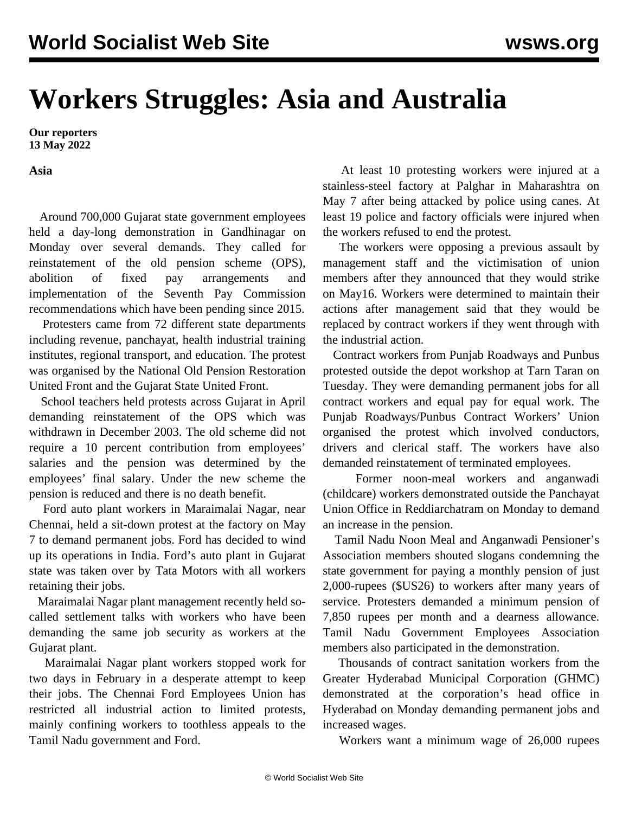## **Workers Struggles: Asia and Australia**

**Our reporters 13 May 2022**

**Asia**

 Around 700,000 Gujarat state government employees held a day-long demonstration in Gandhinagar on Monday over several demands. They called for reinstatement of the old pension scheme (OPS), abolition of fixed pay arrangements and implementation of the Seventh Pay Commission recommendations which have been pending since 2015.

 Protesters came from 72 different state departments including revenue, panchayat, health industrial training institutes, regional transport, and education. The protest was organised by the National Old Pension Restoration United Front and the Gujarat State United Front.

 School teachers held protests across Gujarat in April demanding reinstatement of the OPS which was withdrawn in December 2003. The old scheme did not require a 10 percent contribution from employees' salaries and the pension was determined by the employees' final salary. Under the new scheme the pension is reduced and there is no death benefit.

 Ford auto plant workers in Maraimalai Nagar, near Chennai, held a sit-down protest at the factory on May 7 to demand permanent jobs. Ford has decided to wind up its operations in India. Ford's auto plant in Gujarat state was taken over by Tata Motors with all workers retaining their jobs.

 Maraimalai Nagar plant management recently held socalled settlement talks with workers who have been demanding the same job security as workers at the Gujarat plant.

 Maraimalai Nagar plant workers stopped work for two days in February in a desperate attempt to keep their jobs. The Chennai Ford Employees Union has restricted all industrial action to limited protests, mainly confining workers to toothless appeals to the Tamil Nadu government and Ford.

 At least 10 protesting workers were injured at a stainless-steel factory at Palghar in Maharashtra on May 7 after being attacked by police using canes. At least 19 police and factory officials were injured when the workers refused to end the protest.

 The workers were opposing a previous assault by management staff and the victimisation of union members after they announced that they would strike on May16. Workers were determined to maintain their actions after management said that they would be replaced by contract workers if they went through with the industrial action.

 Contract workers from Punjab Roadways and Punbus protested outside the depot workshop at Tarn Taran on Tuesday. They were demanding permanent jobs for all contract workers and equal pay for equal work. The Punjab Roadways/Punbus Contract Workers' Union organised the protest which involved conductors, drivers and clerical staff. The workers have also demanded reinstatement of terminated employees.

 Former noon-meal workers and anganwadi (childcare) workers demonstrated outside the Panchayat Union Office in Reddiarchatram on Monday to demand an increase in the pension.

 Tamil Nadu Noon Meal and Anganwadi Pensioner's Association members shouted slogans condemning the state government for paying a monthly pension of just 2,000-rupees (\$US26) to workers after many years of service. Protesters demanded a minimum pension of 7,850 rupees per month and a dearness allowance. Tamil Nadu Government Employees Association members also participated in the demonstration.

 Thousands of contract sanitation workers from the Greater Hyderabad Municipal Corporation (GHMC) demonstrated at the corporation's head office in Hyderabad on Monday demanding permanent jobs and increased wages.

Workers want a minimum wage of 26,000 rupees